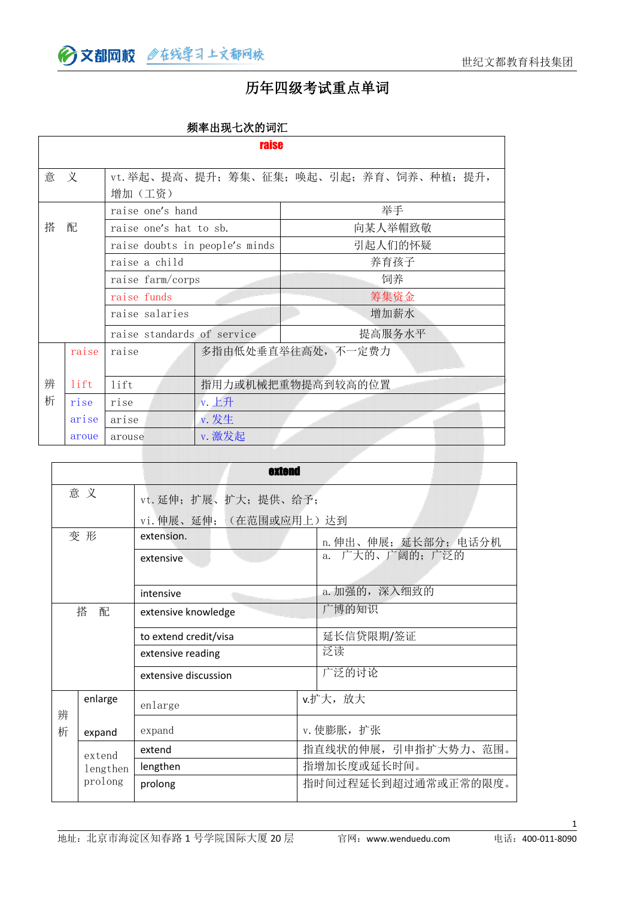→ 文都网校 @在线学习上文都网校

#### 历年四级考试重点单词

| 频率出现七次的词汇 |  |
|-----------|--|
|-----------|--|

|   |                            |                                | <b>raise</b>      |                                           |  |  |
|---|----------------------------|--------------------------------|-------------------|-------------------------------------------|--|--|
| 意 | 义                          | 增加(工资)                         |                   | vt. 举起、提高、提升; 筹集、征集; 唤起、引起; 养育、饲养、种植; 提升, |  |  |
|   | raise one's hand           |                                |                   | 举手                                        |  |  |
| 搭 | 配                          | raise one's hat to sb.         |                   | 向某人举帽致敬                                   |  |  |
|   |                            | raise doubts in people's minds |                   | 引起人们的怀疑                                   |  |  |
|   |                            | raise a child                  |                   | 养育孩子                                      |  |  |
|   | raise farm/corps           |                                |                   | 饲养                                        |  |  |
|   | raise funds                |                                |                   | 筹集资金                                      |  |  |
|   | raise salaries             |                                |                   | 增加薪水                                      |  |  |
|   | raise standards of service |                                |                   | 提高服务水平                                    |  |  |
|   | raise                      | raise                          |                   | 多指由低处垂直举往高处, 不一定费力                        |  |  |
| 辨 | lift                       | lift                           | 指用力或机械把重物提高到较高的位置 |                                           |  |  |
| 析 | rise                       | rise                           | v. 上升             |                                           |  |  |
|   | arise                      | arise                          | v. 发生             |                                           |  |  |
|   | aroue                      | arouse                         | v. 激发起            |                                           |  |  |

|        |          | extend                 |                      |
|--------|----------|------------------------|----------------------|
|        | 意义       | vt. 延伸; 扩展、扩大; 提供、给予;  |                      |
|        |          | vi. 伸展、延伸; (在范围或应用上)达到 |                      |
|        | 变形       | extension.             | n. 伸出、伸展; 延长部分; 电话分机 |
|        |          | extensive              | 广大的、广阔的;广泛的<br>a.    |
|        |          |                        | a. 加强的, 深入细致的        |
|        |          | intensive              |                      |
| 搭<br>配 |          | extensive knowledge    | 广博的知识                |
|        |          | to extend credit/visa  | 延长信贷限期/签证            |
|        |          | extensive reading      | 泛读                   |
|        |          | extensive discussion   | 广泛的讨论                |
| 辨      | enlarge  | enlarge                | v.扩大,放大              |
| 析      | expand   | expand                 | v. 使膨胀, 扩张           |
|        | extend   | extend                 | 指直线状的伸展, 引申指扩大势力、范围。 |
|        | lengthen | lengthen               | 指增加长度或延长时间。          |
|        | prolong  | prolong                | 指时间过程延长到超过通常或正常的限度。  |
|        |          |                        |                      |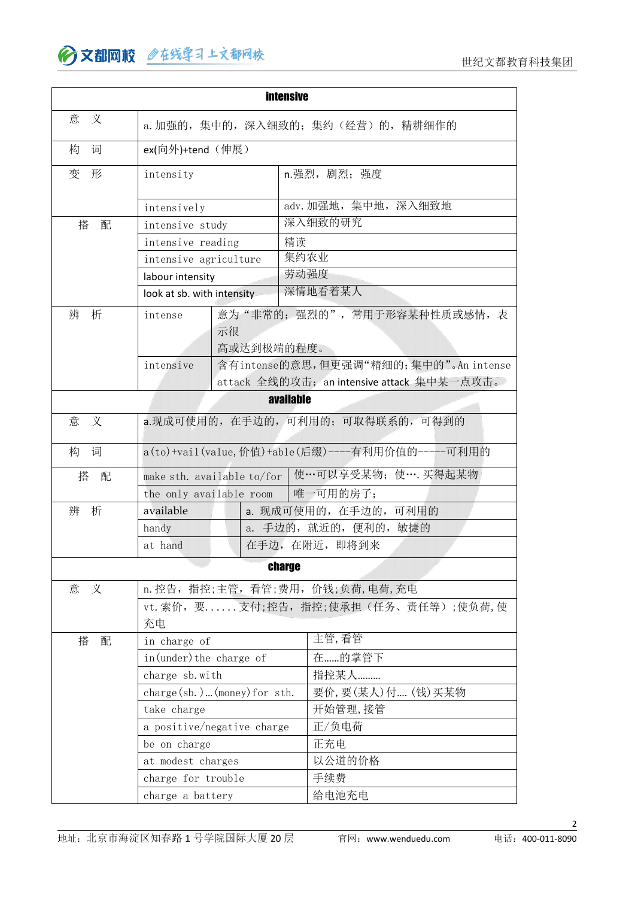|                                       |                                                 |                            | <b>intensive</b>                                                                    |  |
|---------------------------------------|-------------------------------------------------|----------------------------|-------------------------------------------------------------------------------------|--|
| 意<br>义                                |                                                 |                            | a. 加强的, 集中的, 深入细致的; 集约(经营) 的, 精耕细作的                                                 |  |
| 词<br>构                                | ex(向外)+tend (伸展)                                |                            |                                                                                     |  |
| 变<br>形                                | intensity                                       |                            | n.强烈, 剧烈; 强度                                                                        |  |
|                                       | intensively                                     |                            | adv. 加强地, 集中地, 深入细致地                                                                |  |
| 搭<br>配                                | intensive study                                 |                            | 深入细致的研究                                                                             |  |
|                                       | intensive reading                               |                            | 精读                                                                                  |  |
|                                       | intensive agriculture                           |                            | 集约农业                                                                                |  |
|                                       | labour intensity                                |                            | 劳动强度                                                                                |  |
|                                       | look at sb. with intensity                      |                            | 深情地看着某人                                                                             |  |
| 析<br>辨<br>intense<br>示很<br>高或达到极端的程度。 |                                                 | 意为"非常的;强烈的",常用于形容某种性质或感情,表 |                                                                                     |  |
|                                       | intensive                                       |                            | 含有intense的意思,但更强调"精细的;集中的"。An intense<br>attack 全线的攻击; an intensive attack 集中某一点攻击。 |  |
|                                       |                                                 |                            | available                                                                           |  |
| 义<br>意                                |                                                 |                            | a.现成可使用的, 在手边的, 可利用的; 可取得联系的, 可得到的                                                  |  |
| 构<br>词                                | a(to)+vail(value,价值)+able(后缀)----有利用价值的----可利用的 |                            |                                                                                     |  |
| 搭<br>配                                | make sth. available to/for                      |                            | 使…可以享受某物; 使…. 买得起某物                                                                 |  |
|                                       | the only available room                         |                            | 唯一可用的房子;                                                                            |  |
| 析<br>辨                                | available                                       |                            | a. 现成可使用的, 在手边的, 可利用的                                                               |  |
|                                       | handy                                           |                            | a. 手边的, 就近的, 便利的, 敏捷的                                                               |  |
|                                       | at hand                                         |                            | 在手边, 在附近, 即将到来                                                                      |  |
|                                       |                                                 |                            | <b>charge</b>                                                                       |  |
| 意<br>义                                |                                                 |                            | n. 控告, 指控;主管, 看管;费用, 价钱;负荷, 电荷, 充电                                                  |  |
|                                       | 充电                                              |                            | vt. 索价, 要 支付; 控告, 指控; 使承担(任务、责任等); 使负荷, 使                                           |  |
| 搭<br>配                                | in charge of                                    |                            | 主管,看管                                                                               |  |
|                                       | in(under) the charge of                         |                            | 在的掌管下                                                                               |  |
|                                       | charge sb. with                                 |                            | 指控某人                                                                                |  |
|                                       | $charge(sb. )$ (money) for sth.                 |                            | 要价, 要(某人)付 (钱) 买某物                                                                  |  |
|                                       | take charge                                     |                            | 开始管理,接管                                                                             |  |
|                                       | a positive/negative charge                      |                            | 正/负电荷                                                                               |  |
|                                       | be on charge                                    |                            | 正充电                                                                                 |  |
|                                       | at modest charges                               |                            | 以公道的价格                                                                              |  |
|                                       | charge for trouble                              |                            | 手续费                                                                                 |  |
|                                       | charge a battery                                |                            | 给电池充电                                                                               |  |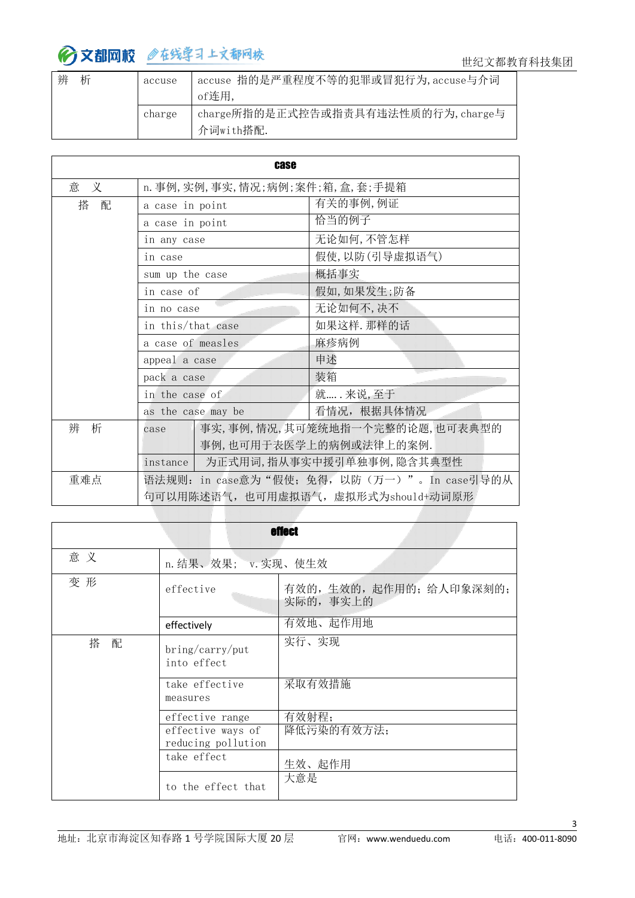| 辨<br>析 | accuse | accuse 指的是严重程度不等的犯罪或冒犯行为, accuse与介词 |  |
|--------|--------|-------------------------------------|--|
|        |        | of连用                                |  |
|        | charge | charge所指的是正式控告或指责具有违法性质的行为, charge与 |  |
|        |        | 介词with搭配.                           |  |

|        | <b>case</b>                                                                        |                                                                                       |  |
|--------|------------------------------------------------------------------------------------|---------------------------------------------------------------------------------------|--|
| 意 义    | n. 事例, 实例, 事实, 情况; 病例; 案件; 箱, 盒, 套; 手提箱                                            |                                                                                       |  |
| 搭<br>配 | a case in point                                                                    | 有关的事例,例证                                                                              |  |
|        | a case in point                                                                    | 恰当的例子                                                                                 |  |
|        | in any case                                                                        | 无论如何,不管怎样                                                                             |  |
|        | in case                                                                            | 假使,以防(引导虚拟语气)                                                                         |  |
|        | sum up the case                                                                    | 概括事实                                                                                  |  |
|        | in case of                                                                         | 假如,如果发生;防备                                                                            |  |
|        | in no case                                                                         | 无论如何不,决不                                                                              |  |
|        | in this/that case                                                                  | 如果这样. 那样的话                                                                            |  |
|        | a case of measles                                                                  | 麻疹病例                                                                                  |  |
|        | appeal a case                                                                      | 申述                                                                                    |  |
|        | pack a case                                                                        | 装箱                                                                                    |  |
|        | in the case of                                                                     | 就…… 来说, 至于                                                                            |  |
|        | as the case may be                                                                 | 看情况, 根据具体情况                                                                           |  |
| 辨 析    | case<br>instance                                                                   | 事实,事例,情况,其可笼统地指一个完整的论题,也可表典型的<br>事例,也可用于表医学上的病例或法律上的案例.<br>为正式用词, 指从事实中援引单独事例, 隐含其典型性 |  |
| 重难点    | 语法规则: in case意为"假使; 免得, 以防(万一)"。In case引导的从<br>句可以用陈述语气, 也可用虚拟语气, 虚拟形式为should+动词原形 |                                                                                       |  |

|        |                                         | <b>effect</b>                     |  |
|--------|-----------------------------------------|-----------------------------------|--|
| 意义     | n. 结果、效果; v. 实现、使生效                     |                                   |  |
| 变形     | effective                               | 有效的,生效的,起作用的;给人印象深刻的;<br>实际的,事实上的 |  |
|        | effectively                             | 有效地、起作用地                          |  |
| 搭<br>配 | bring/carry/put<br>into effect          | 实行、实现                             |  |
|        | take effective<br>measures              | 采取有效措施                            |  |
|        | effective range                         | 有效射程;                             |  |
|        | effective ways of<br>reducing pollution | 降低污染的有效方法;                        |  |
|        | take effect                             | 生效、起作用                            |  |
|        | to the effect that                      | 大意是                               |  |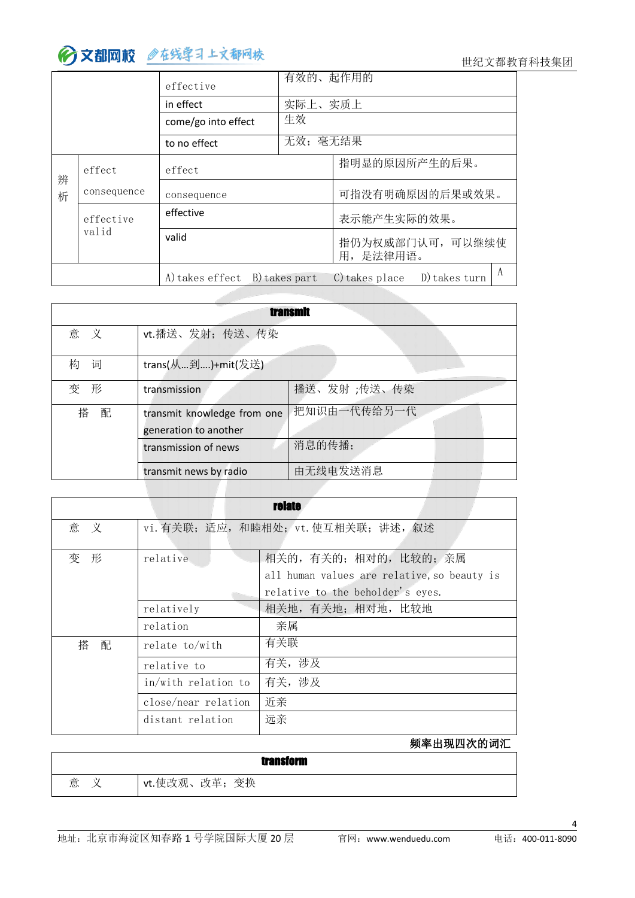#### 世纪文都教育科技集团

|        |             | effective           | 有效的、起作用的      |                                 |  |
|--------|-------------|---------------------|---------------|---------------------------------|--|
|        |             | in effect           | 实际上、实质上       |                                 |  |
|        |             | come/go into effect | 生效            |                                 |  |
|        |             | to no effect        | 无效; 毫无结果      |                                 |  |
| 辨<br>析 | effect      | effect              |               | 指明显的原因所产生的后果。                   |  |
|        | consequence | consequence         |               | 可指没有明确原因的后果或效果。                 |  |
|        | effective   | effective           |               | 表示能产生实际的效果。                     |  |
|        | valid       | valid               |               | 指仍为权威部门认可, 可以继续使<br>用,是法律用语。    |  |
|        |             | A) takes effect     | B) takes part | C) takes place<br>D) takes turn |  |

| <b>transmit</b> |                             |             |  |  |  |
|-----------------|-----------------------------|-------------|--|--|--|
| 意 义             | vt.播送、发射; 传送、传染             |             |  |  |  |
| 词<br>构          | trans(从到)+mit(发送)           |             |  |  |  |
| 变<br>形          | transmission                | 播送、发射;传送、传染 |  |  |  |
| 搭<br>配          | transmit knowledge from one | 把知识由一代传给另一代 |  |  |  |
|                 | generation to another       |             |  |  |  |
|                 | transmission of news        | 消息的传播;      |  |  |  |
|                 | transmit news by radio      | 由无线电发送消息    |  |  |  |

|        |                                      | <b>relate</b>                               |  |  |
|--------|--------------------------------------|---------------------------------------------|--|--|
| 意<br>义 | vi. 有关联; 适应, 和睦相处; vt. 使互相关联; 讲述, 叙述 |                                             |  |  |
| 形<br>变 | relative                             | 相关的, 有关的; 相对的, 比较的; 亲属                      |  |  |
|        |                                      | all human values are relative, so beauty is |  |  |
|        |                                      | relative to the beholder's eyes.            |  |  |
|        | relatively                           | 相关地, 有关地; 相对地, 比较地                          |  |  |
|        | relation                             | 亲属                                          |  |  |
| 搭<br>配 | relate to/with                       | 有关联                                         |  |  |
|        | relative to                          | 有关,涉及                                       |  |  |
|        | in/with relation to                  | 有关, 涉及                                      |  |  |
|        | close/near relation                  | 近亲                                          |  |  |
|        | distant relation                     | 远亲                                          |  |  |

频率出现四次的词汇

|   | transform         |
|---|-------------------|
| 意 | 变换<br>'vt.使改观、改革; |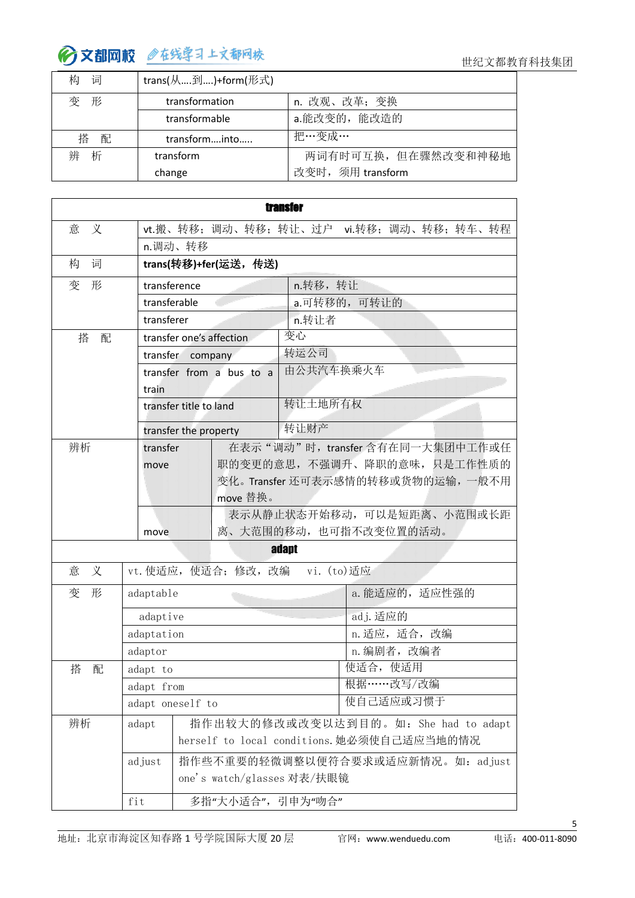

| 构<br>词 | trans(从到)+form(形式) |                    |  |  |  |  |
|--------|--------------------|--------------------|--|--|--|--|
| 变<br>形 | transformation     | n. 改观、改革; 变换       |  |  |  |  |
|        | transformable      | a.能改变的, 能改造的       |  |  |  |  |
| 搭 配    | transforminto      | 把…变成…              |  |  |  |  |
| 辨<br>析 | transform          | 两词有时可互换,但在骤然改变和神秘地 |  |  |  |  |
|        | change             | 改变时, 须用 transform  |  |  |  |  |

|                        |                            | <b>transfer</b> |                                            |
|------------------------|----------------------------|-----------------|--------------------------------------------|
| 义<br>意                 |                            |                 | vt.搬、转移; 调动、转移; 转让、过户 vi.转移; 调动、转移; 转车、转程  |
| n.调动、转移                |                            |                 |                                            |
| 词<br>构                 | trans(转移)+fer(运送,传送)       |                 |                                            |
| 变<br>形<br>transference |                            | n.转移,转让         |                                            |
| transferable           |                            | a.可转移的,可转让的     |                                            |
| transferer             |                            | n.转让者           |                                            |
| 搭<br>配                 | transfer one's affection   | 变心              |                                            |
| transfer company       |                            | 转运公司            |                                            |
|                        | transfer from a bus to a   | 由公共汽车换乘火车       |                                            |
| train                  |                            |                 |                                            |
| transfer title to land |                            | 转让土地所有权         |                                            |
|                        | transfer the property      | 转让财产            |                                            |
| 辨析<br>transfer         |                            |                 | 在表示"调动"时, transfer 含有在同一大集团中工作或任           |
| move                   |                            |                 | 职的变更的意思, 不强调升、降职的意味, 只是工作性质的               |
|                        |                            |                 | 变化。Transfer 还可表示感情的转移或货物的运输, 一般不用          |
|                        | move 替换。                   |                 |                                            |
|                        |                            |                 | 表示从静止状态开始移动, 可以是短距离、小范围或长距                 |
| move                   |                            |                 | 离、大范围的移动,也可指不改变位置的活动。                      |
|                        |                            | adapt           |                                            |
| 义<br>意                 | vt. 使适应, 使适合; 修改, 改编       | vi. (to)适应      |                                            |
| 变<br>形<br>adaptable    |                            |                 | a. 能适应的, 适应性强的                             |
| adaptive               |                            |                 | ad.j. 适应的                                  |
| adaptation             |                            |                 | n. 适应, 适合, 改编                              |
| adaptor                |                            |                 | n. 编剧者, 改编者                                |
| 搭<br>配<br>adapt to     |                            |                 | 使适合, 使适用                                   |
| adapt from             |                            |                 | 根据 …… 改写/改编                                |
| adapt oneself to       |                            |                 | 使自己适应或习惯于                                  |
| 辨析<br>adapt            |                            |                 | 指作出较大的修改或改变以达到目的。如: She had to adapt       |
|                        |                            |                 | herself to local conditions. 她必须使自己适应当地的情况 |
| adjust                 |                            |                 | 指作些不重要的轻微调整以便符合要求或适应新情况。如: adjust          |
|                        | one's watch/glasses 对表/扶眼镜 |                 |                                            |
|                        |                            |                 |                                            |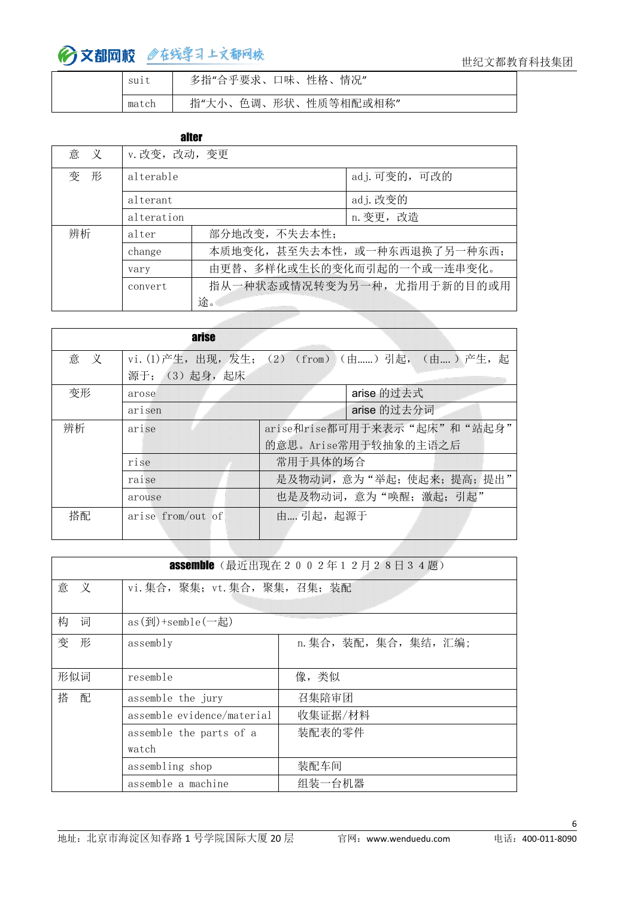| S111  | 多指"合乎要求、口味、性格、<br>情况"     |
|-------|---------------------------|
| match | 指"大小、色调、形状、<br>、性质等相配或相称" |

#### alter

| 意 义 | v. 改变, 改动, 变更 |                               |               |  |
|-----|---------------|-------------------------------|---------------|--|
| 变 形 | alterable     |                               | adj. 可变的, 可改的 |  |
|     | alterant      |                               | adj. 改变的      |  |
|     | alteration    |                               | n. 变更, 改造     |  |
| 辨析  | alter         | 部分地改变,不失去本性;                  |               |  |
|     | change        | 本质地变化, 甚至失去本性, 或一种东西退换了另一种东西; |               |  |
|     | vary          | 由更替、多样化或生长的变化而引起的一个或一连串变化。    |               |  |
|     | convert       | 指从一种状态或情况转变为另一种,尤指用于新的目的或用    |               |  |
|     | 途。            |                               |               |  |

|        | arise                                           |                             |  |  |  |
|--------|-------------------------------------------------|-----------------------------|--|--|--|
| 意<br>义 | vi. (1)产生, 出现, 发生; (2) (from) (由) 引起, (由) 产生, 起 |                             |  |  |  |
|        | 源于; (3) 起身, 起床                                  |                             |  |  |  |
| 变形     | arose                                           | arise 的过去式                  |  |  |  |
|        | arisen                                          | arise 的过去分词                 |  |  |  |
| 辨析     | arise                                           | arise和rise都可用于来表示"起床"和"站起身" |  |  |  |
|        | 的意思。Arise常用于较抽象的主语之后                            |                             |  |  |  |
|        | rise                                            | 常用于具体的场合                    |  |  |  |
|        | raise                                           | 是及物动词,意为"举起;使起来;提高;提出"      |  |  |  |
|        | arouse                                          | 也是及物动词,意为"唤醒;激起;引起"         |  |  |  |
| 搭配     | arise from/out of                               | 由 引起, 起源于                   |  |  |  |

|        |                                                                     | <b>assemble</b> (最近出现在2002年12月28日34题) |
|--------|---------------------------------------------------------------------|---------------------------------------|
| 意 义    | vi. 集合, 聚集; vt. 集合, 聚集, 召集; 装配                                      |                                       |
| 构<br>词 | as $(\overline{\mathfrak{B}})$ +semble $(-\overline{\mathfrak{B}})$ |                                       |
| 变<br>形 | assembly                                                            | n. 集合, 装配, 集合, 集结, 汇编;                |
| 形似词    | resemble                                                            | 像,类似                                  |
| 搭 配    | assemble the jury                                                   | 召集陪审团                                 |
|        | assemble evidence/material                                          | 收集证据/材料                               |
|        | assemble the parts of a                                             | 装配表的零件                                |
|        | watch                                                               |                                       |
|        | assembling shop                                                     | 装配车间                                  |
|        | assemble a machine                                                  | 组装一台机器                                |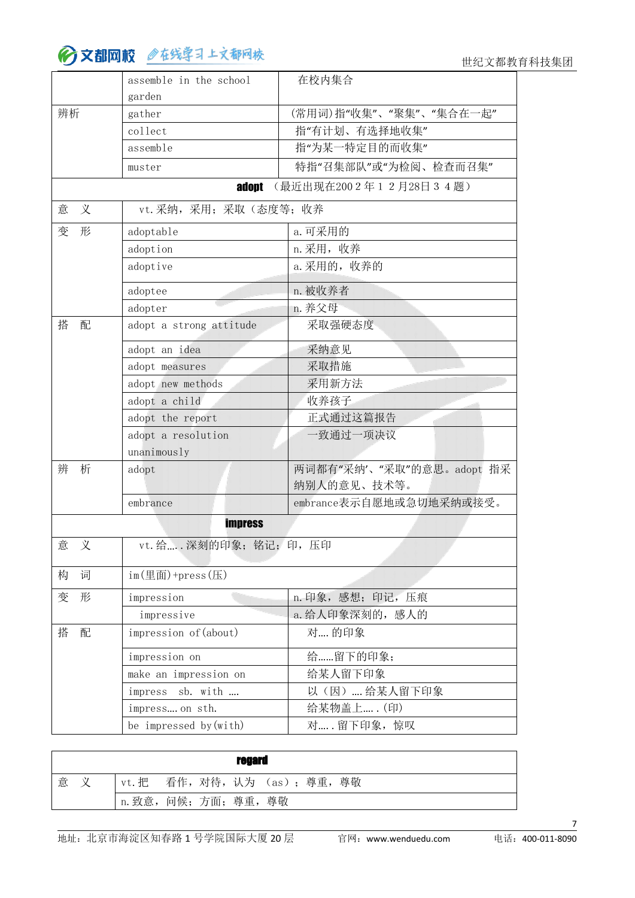世纪文都教育科技集团

|        | assemble in the school                                     | 在校内集合                     |
|--------|------------------------------------------------------------|---------------------------|
| 辨析     | garden<br>gather                                           | (常用词)指"收集"、"聚集"、"集合在一起"   |
|        | collect                                                    | 指"有计划、有选择地收集"             |
|        | assemble                                                   | 指"为某一特定目的而收集"             |
|        | muster                                                     | 特指"召集部队"或"为检阅、检查而召集"      |
|        | adopt                                                      | (最近出现在2002年12月28日34题)     |
| 义      |                                                            |                           |
| 意      | vt. 采纳, 采用; 采取(态度等; 收养                                     |                           |
| 变<br>形 | adoptable                                                  | a. 可采用的                   |
|        | adoption                                                   | n. 采用, 收养                 |
|        | adoptive                                                   | a. 采用的, 收养的               |
|        | adoptee                                                    | n. 被收养者                   |
|        | adopter                                                    | n. 养父母                    |
| 搭<br>配 | adopt a strong attitude                                    | 采取强硬态度                    |
|        | adopt an idea                                              | 采纳意见                      |
|        | adopt measures                                             | 采取措施                      |
|        | adopt new methods                                          | 采用新方法                     |
|        | adopt a child                                              | 收养孩子                      |
|        | adopt the report                                           | 正式通过这篇报告                  |
|        | adopt a resolution                                         | 一致通过一项决议                  |
|        | unanimously                                                |                           |
| 辨<br>析 | adopt                                                      | 两词都有"采纳'、"采取"的意思。adopt 指采 |
|        |                                                            | 纳别人的意见、技术等。               |
|        | embrance                                                   | embrance表示自愿地或急切地采纳或接受。   |
|        | <b>impress</b>                                             |                           |
| 义<br>意 | vt. 给 深刻的印象; 铭记; 印, 压印                                     |                           |
| 构<br>词 | $im(\underline{\text{H}}\overline{\text{H}})$ +press $(E)$ |                           |
| 变<br>形 | impression                                                 | n. 印象, 感想; 印记, 压痕         |
|        | impressive                                                 | a. 给人印象深刻的, 感人的           |
| 搭<br>配 | impression of (about)                                      | 对 的印象                     |
|        | impression on                                              | 给留下的印象;                   |
|        | make an impression on                                      | 给某人留下印象                   |
|        | impress sb. with                                           | 以(因)  给某人留下印象             |
|        | impress on sth.                                            | 给某物盖上 (印)                 |
|        | be impressed by (with)                                     | 对 留下印象, 惊叹                |
|        |                                                            |                           |

|   |  |                       |  | regard |                               |
|---|--|-----------------------|--|--------|-------------------------------|
| 意 |  |                       |  |        | vt. 把 看作, 对待, 认为 (as); 尊重, 尊敬 |
|   |  | n. 致意, 问候; 方面; 尊重, 尊敬 |  |        |                               |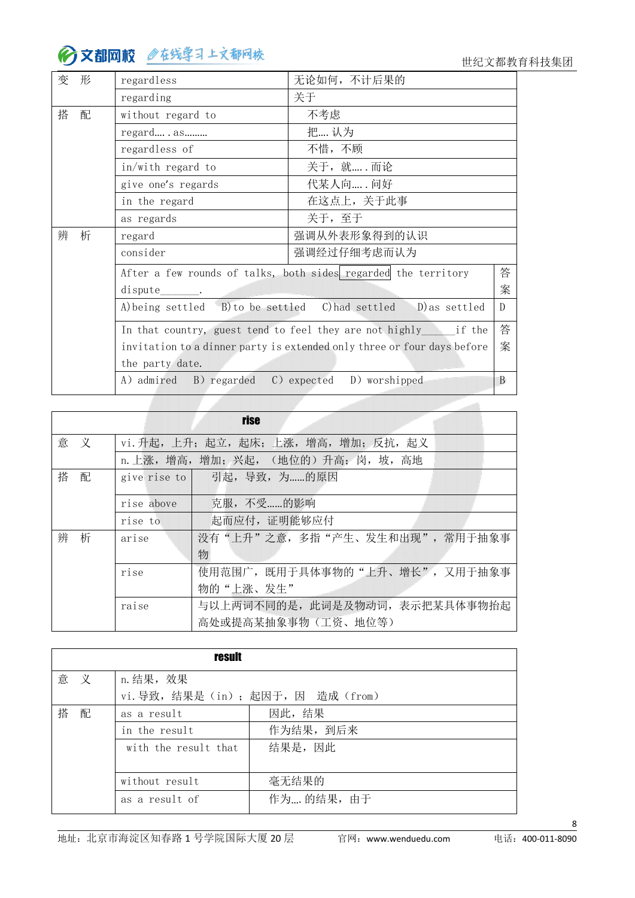世纪文都教育科技集团

 $\sim$ 

| 变<br>形 | regardless                                       | 无论如何, 不计后果的                                                             |              |  |
|--------|--------------------------------------------------|-------------------------------------------------------------------------|--------------|--|
|        | regarding                                        | 关于                                                                      |              |  |
| 搭<br>配 | 不考虑<br>without regard to                         |                                                                         |              |  |
|        | regard as                                        | 把 认为                                                                    |              |  |
|        | regardless of                                    | 不惜,不顾                                                                   |              |  |
|        | in/with regard to                                | 关于, 就 而论                                                                |              |  |
|        | give one's regards                               | 代某人向 问好                                                                 |              |  |
|        | in the regard                                    | 在这点上,关于此事                                                               |              |  |
|        | as regards                                       | 关于,至于                                                                   |              |  |
| 辨<br>析 | regard                                           | 强调从外表形象得到的认识                                                            |              |  |
|        | consider                                         | 强调经过仔细考虑而认为                                                             |              |  |
|        |                                                  | After a few rounds of talks, both sides regarded the territory          | 答            |  |
|        | dispute                                          |                                                                         | 案            |  |
|        | A) being settled B) to be settled C) had settled | D) as settled                                                           | $\mathbb{D}$ |  |
|        |                                                  | In that country, guest tend to feel they are not highly if the          | 答            |  |
|        |                                                  | invitation to a dinner party is extended only three or four days before | 案            |  |
|        | the party date.                                  |                                                                         |              |  |
|        | A) admired<br>B) regarded                        | C) expected<br>D) worshipped                                            | B            |  |

|        |              | rise                                   |
|--------|--------------|----------------------------------------|
| 意 义    |              | vi. 升起, 上升; 起立, 起床; 上涨, 增高, 增加; 反抗, 起义 |
|        |              | n. 上涨, 增高, 增加; 兴起, (地位的) 升高; 岗, 坡, 高地  |
| 搭<br>配 | give rise to | 引起, 导致, 为的原因                           |
|        | rise above   | 克服,不受的影响                               |
|        | rise to      | 起而应付, 证明能够应付                           |
| 辨<br>析 | arise        | 没有"上升"之意,多指"产生、发生和出现",常用于抽象事           |
|        |              | 物                                      |
|        | rise         | 使用范围广, 既用于具体事物的"上升、增长", 又用于抽象事         |
|        |              | 物的"上涨、发生"                              |
|        | raise        | 与以上两词不同的是, 此词是及物动词, 表示把某具体事物抬起         |
|        |              | 高处或提高某抽象事物(工资、地位等)                     |

|   |   | <b>result</b>                    |            |  |  |  |  |
|---|---|----------------------------------|------------|--|--|--|--|
| 意 | 义 | n. 结果, 效果                        |            |  |  |  |  |
|   |   | vi. 导致, 结果是(in); 起因于, 因 造成(from) |            |  |  |  |  |
| 搭 | 配 | as a result                      | 因此,结果      |  |  |  |  |
|   |   | in the result                    | 作为结果, 到后来  |  |  |  |  |
|   |   | with the result that             | 结果是,因此     |  |  |  |  |
|   |   |                                  |            |  |  |  |  |
|   |   | without result                   | 毫无结果的      |  |  |  |  |
|   |   | as a result of                   | 作为 的结果, 由于 |  |  |  |  |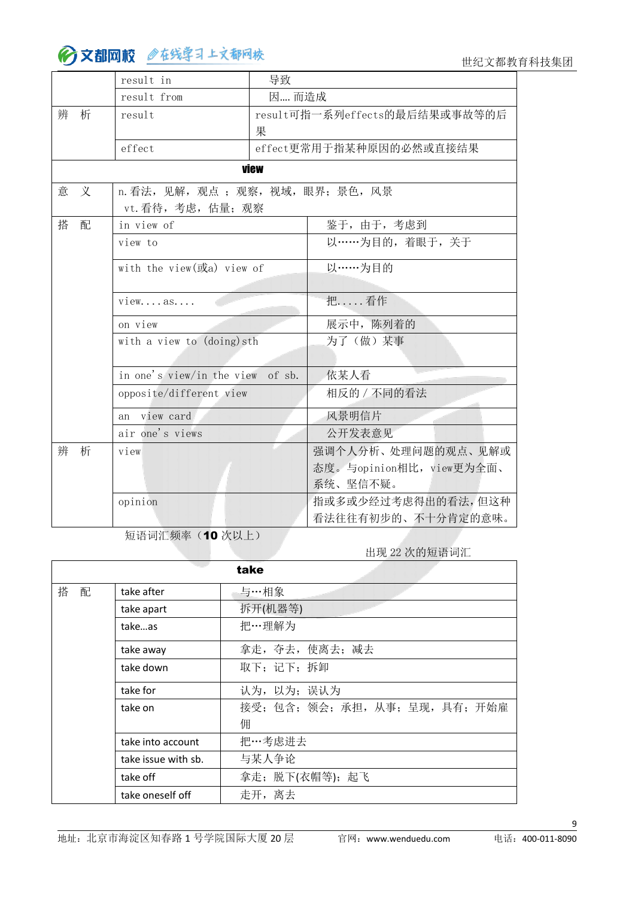世纪文都教育科技集团

|   |   | result in                          | 导致    |                               |
|---|---|------------------------------------|-------|-------------------------------|
|   |   | result from                        | 因 而造成 |                               |
| 辨 | 析 | result                             |       | result可指一系列effects的最后结果或事故等的后 |
|   |   |                                    | 果     |                               |
|   |   | effect                             |       | effect更常用于指某种原因的必然或直接结果       |
|   |   |                                    | view  |                               |
| 意 | 义 | n. 看法, 见解, 观点; 观察, 视域, 眼界; 景色, 风景  |       |                               |
|   |   | vt. 看待, 考虑, 估量; 观察                 |       |                               |
| 搭 | 配 | in view of                         |       | 鉴于, 由于, 考虑到                   |
|   |   | view to                            |       | 以……为目的,着眼于,关于                 |
|   |   | with the view $(\vec{dx})$ view of |       | 以……为目的                        |
|   |   |                                    |       |                               |
|   |   | $view$ as                          |       | 把 看作                          |
|   |   | on view                            |       | 展示中, 陈列着的                     |
|   |   | with a view to (doing) sth         |       | 为了(做)某事                       |
|   |   | in one's view/in the view of sb.   |       | 依某人看                          |
|   |   |                                    |       |                               |
|   |   | opposite/different view            |       | 相反的 / 不同的看法                   |
|   |   | an view card                       |       | 风景明信片                         |
|   |   | air one's views                    |       | 公开发表意见                        |
| 辨 | 析 | view                               |       | 强调个人分析、处理问题的观点、见解或            |
|   |   |                                    |       | 态度。与opinion相比, view更为全面、      |
|   |   |                                    |       | 系统、坚信不疑。                      |
|   |   | opinion                            |       | 指或多或少经过考虑得出的看法,但这种            |
|   |   | 看法往往有初步的、不十分肯定的意味。                 |       |                               |

短语词汇频率(10次以上)

出现 22 次的短语词汇

|        |                     | take                     |
|--------|---------------------|--------------------------|
| 搭<br>配 | take after          | 与…相象                     |
|        | take apart          | 拆开(机器等)                  |
|        | takeas              | 把…理解为                    |
|        | take away           | 拿走, 夺去, 使离去; 减去          |
|        | take down           | 取下;记下;拆卸                 |
|        | take for            | 认为, 以为; 误认为              |
|        | take on             | 接受;包含;领会;承担,从事;呈现,具有;开始雇 |
|        |                     | 佣                        |
|        | take into account   | 把…考虑进去                   |
|        | take issue with sb. | 与某人争论                    |
|        | take off            | 拿走; 脱下(衣帽等); 起飞          |
|        | take oneself off    | 走开,离去                    |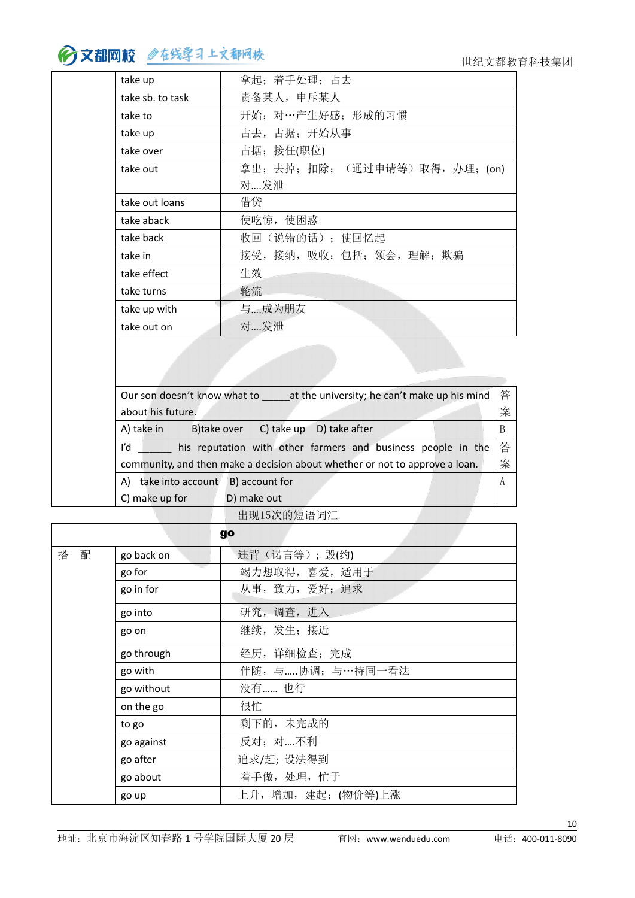| take up          | 拿起;着手处理;占去                   |
|------------------|------------------------------|
| take sb. to task | 责备某人, 申斥某人                   |
| take to          | 开始; 对…产生好感; 形成的习惯            |
| take up          | 占去, 占据; 开始从事                 |
| take over        | 占据;接任(职位)                    |
| take out         | 拿出;去掉;扣除; (通过申请等)取得,办理; (on) |
|                  | 对发泄                          |
| take out loans   | 借贷                           |
| take aback       | 使吃惊, 使困惑                     |
| take back        | 收回(说错的话); 使回忆起               |
| take in          | 接受, 接纳, 吸收; 包括; 领会, 理解; 欺骗   |
| take effect      | 生效                           |
| take turns       | 轮流                           |
| take up with     | 与成为朋友                        |
| take out on      | 对发泄                          |
|                  |                              |

| at the university; he can't make up his mind<br>Our son doesn't know what to | 答                |
|------------------------------------------------------------------------------|------------------|
| about his future.                                                            | 案                |
| A) take in<br>B)take over<br>C) take up<br>D) take after                     | B                |
| l'd<br>his reputation with other farmers and business people in the          | 答                |
| community, and then make a decision about whether or not to approve a loan.  | 案                |
| take into account<br>B) account for<br>A)                                    | $\boldsymbol{A}$ |
| D) make out<br>C) make up for                                                |                  |
| ______________________________                                               |                  |

出现15次的短语词汇

|        |            | go                  |
|--------|------------|---------------------|
| 搭<br>配 | go back on | 违背(诺言等); 毁(约)       |
|        | go for     | 竭力想取得, 喜爱, 适用于      |
|        | go in for  | 从事, 致力, 爱好; 追求      |
|        | go into    | 研究, 调查, 进入          |
|        | go on      | 继续, 发生; 接近          |
|        | go through | 经历,详细检查;完成          |
|        | go with    | 伴随, 与协调; 与…持同一看法    |
|        | go without | 没有 也行               |
|        | on the go  | 很忙                  |
|        | to go      | 剩下的, 未完成的           |
|        | go against | 反对;对不利              |
|        | go after   | 追求/赶; 设法得到          |
|        | go about   | 着手做, 处理, 忙于         |
|        | go up      | 上升, 增加, 建起; (物价等)上涨 |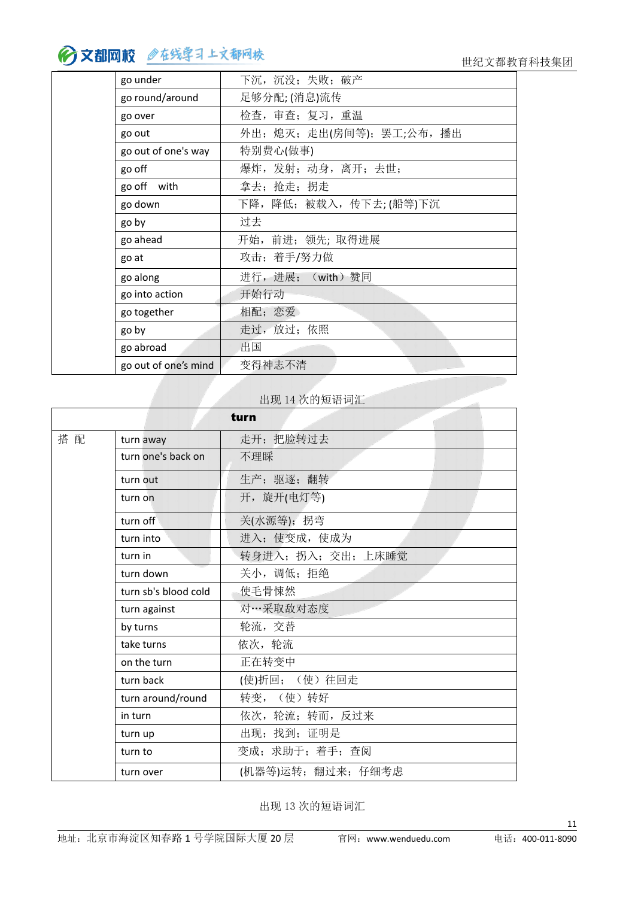| go under             | 下沉,沉没; 失败; 破产              |
|----------------------|----------------------------|
| go round/around      | 足够分配;(消息)流传                |
| go over              | 检查, 审查; 复习, 重温             |
| go out               | 外出; 熄灭; 走出(房间等); 罢工;公布, 播出 |
| go out of one's way  | 特别费心(做事)                   |
| go off               | 爆炸,发射;动身,离开;去世;            |
| go off with          | 拿去; 抢走; 拐走                 |
| go down              | 下降,降低;被载入,传下去;(船等)下沉       |
| go by                | 过去                         |
| go ahead             | 开始, 前进; 领先; 取得进展           |
| go at                | 攻击;着手/努力做                  |
| go along             | 进行,进展; (with)赞同            |
| go into action       | 开始行动                       |
| go together          | 相配;恋爱                      |
| go by                | 走过, 放过; 依照                 |
| go abroad            | 出国                         |
| go out of one's mind | 变得神志不清                     |

#### 出现 14 次的短语词汇

|     |                      | turn               |
|-----|----------------------|--------------------|
| 搭 配 | turn away            | 走开; 把脸转过去          |
|     | turn one's back on   | 不理睬                |
|     | turn out             | 生产;驱逐;翻转           |
|     | turn on              | 开, 旋开(电灯等)         |
|     | turn off             | 关(水源等); 拐弯         |
|     | turn into            | 进入; 使变成, 使成为       |
|     | turn in              | 转身进入; 拐入; 交出; 上床睡觉 |
|     | turn down            | 关小, 调低; 拒绝         |
|     | turn sb's blood cold | 使毛骨悚然              |
|     | turn against         | 对…采取敌对态度           |
|     | by turns             | 轮流, 交替             |
|     | take turns           | 依次, 轮流             |
|     | on the turn          | 正在转变中              |
|     | turn back            | (使)折回; (使) 往回走     |
|     | turn around/round    | 转变, (使)转好          |
|     | in turn              | 依次, 轮流; 转而, 反过来    |
|     | turn up              | 出现; 找到; 证明是        |
|     | turn to              | 变成; 求助于; 着手; 查阅    |
|     | turn over            | (机器等)运转; 翻过来; 仔细考虑 |

出现 13 次的短语词汇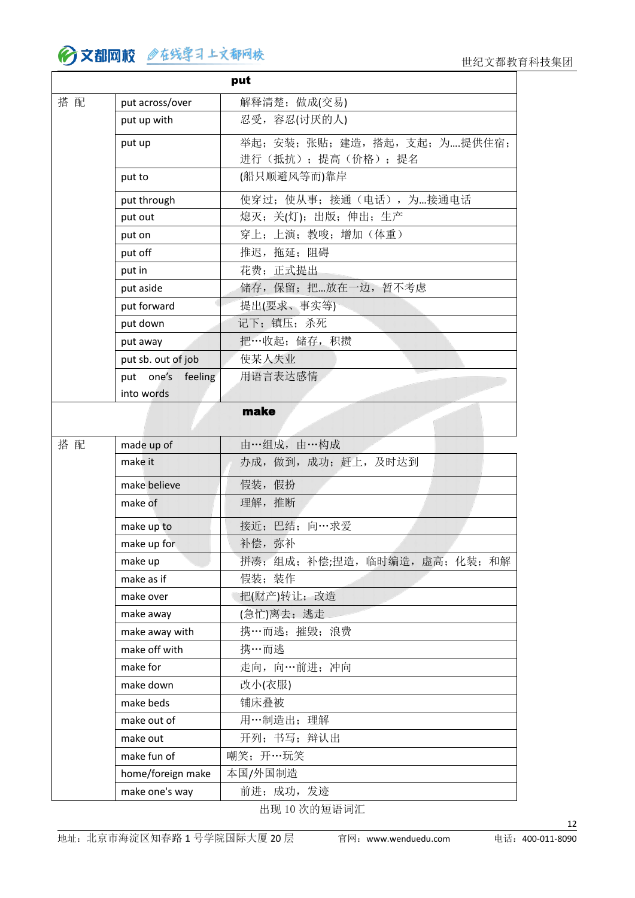|     |                    | put                            |
|-----|--------------------|--------------------------------|
| 搭 配 | put across/over    | 解释清楚; 做成(交易)                   |
|     | put up with        | 忍受, 容忍(讨厌的人)                   |
|     | put up             | 举起; 安装; 张贴; 建造, 搭起, 支起; 为提供住宿; |
|     |                    | 进行(抵抗);提高(价格);提名               |
|     | put to             | (船只顺避风等而)靠岸                    |
|     | put through        | 使穿过; 使从事; 接通(电话), 为接通电话        |
|     | put out            | 熄灭;关(灯);出版;伸出;生产               |
|     | put on             | 穿上;上演;教唆;增加(体重)                |
|     | put off            | 推迟, 拖延; 阻碍                     |
|     | put in             | 花费; 正式提出                       |
|     | put aside          | 储存, 保留; 把放在一边, 暂不考虑            |
|     | put forward        | 提出(要求、事实等)                     |
|     | put down           | 记下;镇压;杀死                       |
|     | put away           | 把…收起; 储存, 积攒                   |
|     | put sb. out of job | 使某人失业                          |
|     | put one's feeling  | 用语言表达感情                        |
|     | into words         |                                |
|     |                    | make                           |
|     |                    |                                |
| 搭配  | made up of         | 由…组成, 由…构成                     |
|     | make it            | 办成, 做到, 成功; 赶上, 及时达到           |
|     | make believe       | 假装,假扮                          |
|     | make of            | 理解, 推断                         |
|     | make up to         | 接近; 巴结; 向…求爱                   |
|     | make up for        | 补偿, 弥补                         |
|     | make up            | 拼凑;组成;补偿;捏造,临时编造,虚高;化装;和解      |
|     | make as if         | 假装;装作                          |
|     | make over          | 把(财产)转让;改造                     |
|     | make away          | (急忙)离去; 逃走                     |
|     | make away with     | 携…而逃; 摧毁; 浪费                   |
|     | make off with      | 携…而逃                           |
|     | make for           | 走向, 向…前进; 冲向                   |
|     | make down          | 改小(衣服)                         |
|     | make beds          | 铺床叠被                           |
|     | make out of        | 用…制造出;理解                       |
|     | make out           | 开列;书写;辩认出                      |
|     | make fun of        | 嘲笑; 开…玩笑                       |
|     | home/foreign make  | 本国/外国制造                        |
|     | make one's way     | 前进; 成功, 发迹                     |

出现 10 次的短语词汇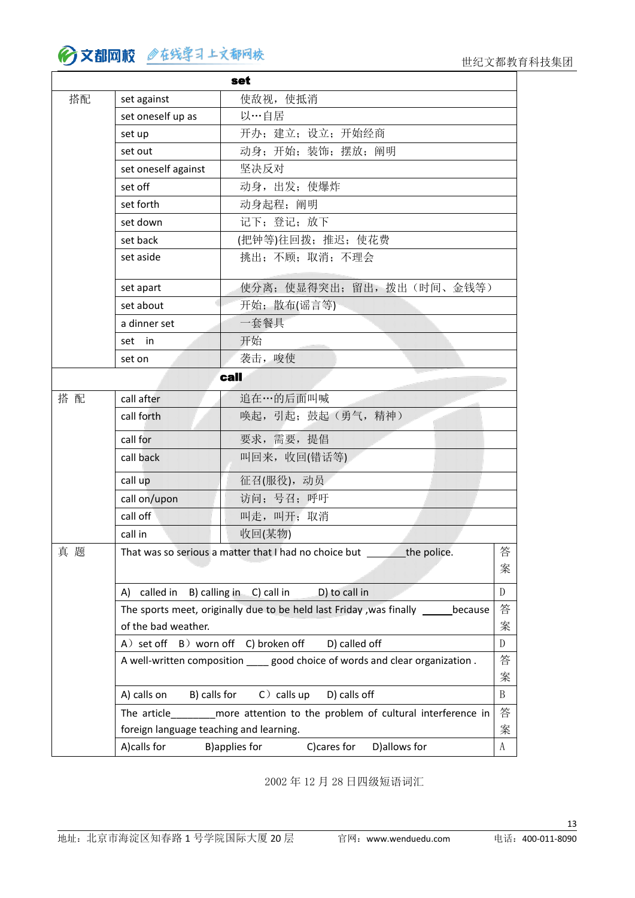#### ∂文都网校 ◎在线学习上文都网校

|     |                                         | set                                                                             |              |
|-----|-----------------------------------------|---------------------------------------------------------------------------------|--------------|
| 搭配  | set against                             | 使敌视, 使抵消                                                                        |              |
|     | set oneself up as                       | 以…自居                                                                            |              |
|     | set up                                  | 开办;建立;设立;开始经商                                                                   |              |
|     | set out                                 | 动身;开始;装饰;摆放;阐明                                                                  |              |
|     | set oneself against                     | 坚决反对                                                                            |              |
|     | set off                                 | 动身, 出发; 使爆炸                                                                     |              |
|     | set forth                               | 动身起程; 阐明                                                                        |              |
|     | set down                                | 记下;登记;放下                                                                        |              |
|     | set back                                | (把钟等)往回拨; 推迟; 使花费                                                               |              |
|     | set aside                               | 挑出;不顾;取消;不理会                                                                    |              |
|     | set apart                               | 使分离; 使显得突出; 留出, 拨出(时间、金钱等)                                                      |              |
|     | set about                               | 开始;散布(谣言等)                                                                      |              |
|     | a dinner set                            | 一套餐具                                                                            |              |
|     | set in                                  | 开始                                                                              |              |
|     | set on                                  | 袭击, 唆使                                                                          |              |
|     |                                         | call                                                                            |              |
| 搭 配 | call after                              | 追在…的后面叫喊                                                                        |              |
|     | call forth                              | 唤起, 引起; 鼓起(勇气, 精神)                                                              |              |
|     | call for                                | 要求,需要,提倡                                                                        |              |
|     | call back                               | 叫回来,收回(错话等)                                                                     |              |
|     | call up                                 | 征召(服役), 动员                                                                      |              |
|     | call on/upon                            | 访问;号召;呼吁                                                                        |              |
|     | call off                                | 叫走,叫开;取消                                                                        |              |
|     | call in                                 | 收回(某物)                                                                          |              |
| 真题  |                                         | That was so serious a matter that I had no choice but<br>the police             | 答            |
|     |                                         |                                                                                 | 案            |
|     | A) called in B) calling in C) call in   | D) to call in                                                                   | $\mathbf{D}$ |
|     |                                         | The sports meet, originally due to be held last Friday, was finally<br>because  | 答            |
|     | of the bad weather.                     |                                                                                 | 案            |
|     | A) set off B) worn off C) broken off    | D) called off                                                                   | ${\rm D}$    |
|     |                                         | A well-written composition _____ good choice of words and clear organization.   | 答            |
|     |                                         |                                                                                 | 案            |
|     | A) calls on<br>B) calls for             | $C$ ) calls up<br>D) calls off                                                  | B            |
|     |                                         | The article__________ more attention to the problem of cultural interference in | 答            |
|     | foreign language teaching and learning. |                                                                                 | 案            |
|     | A)calls for                             | C)cares for<br>D) allows for<br><b>B)applies for</b>                            | $\rm A$      |

2002 年 12 月 28 日四级短语词汇